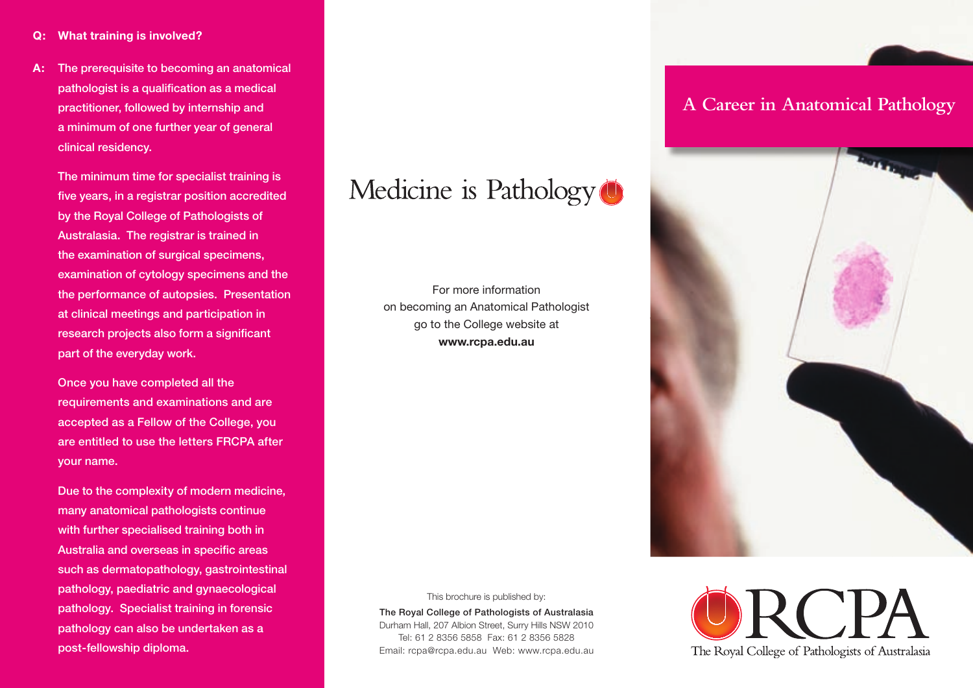**A:** The prerequisite to becoming an anatomical pathologist is a qualification as a medical practitioner, followed by internship and a minimum of one further year of general clinical residency.

 The minimum time for specialist training is five years, in a registrar position accredited by the Royal College of Pathologists of Australasia. The registrar is trained in the examination of surgical specimens, examination of cytology specimens and the the performance of autopsies. Presentation at clinical meetings and participation in research projects also form a significant part of the everyday work.

 Once you have completed all the requirements and examinations and are accepted as a Fellow of the College, you are entitled to use the letters FRCPA after your name.

 Due to the complexity of modern medicine, many anatomical pathologists continue with further specialised training both in Australia and overseas in specific areas such as dermatopathology, gastrointestinal pathology, paediatric and gynaecological pathology. Specialist training in forensic pathology can also be undertaken as a post-fellowship diploma.

## Medicine is Pathology<sup>(1)</sup>

For more information on becoming an Anatomical Pathologist go to the College website at **www.rcpa.edu.au**

#### This brochure is published by:

The Royal College of Pathologists of Australasia Durham Hall, 207 Albion Street, Surry Hills NSW 2010 Tel: 61 2 8356 5858 Fax: 61 2 8356 5828 Email: rcpa@rcpa.edu.au Web: www.rcpa.edu.au

## **A Career in Anatomical Pathology**